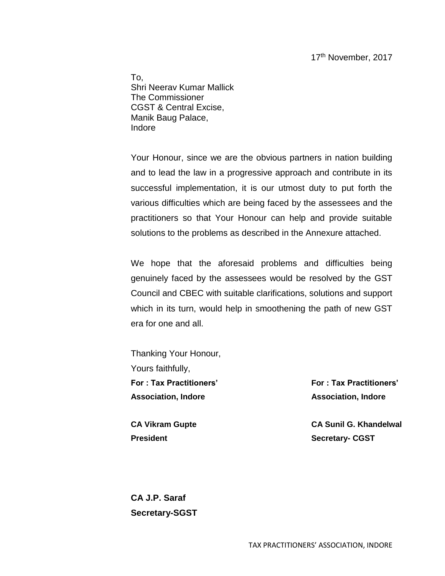17th November, 2017

To, Shri Neerav Kumar Mallick The Commissioner CGST & Central Excise, Manik Baug Palace, Indore

Your Honour, since we are the obvious partners in nation building and to lead the law in a progressive approach and contribute in its successful implementation, it is our utmost duty to put forth the various difficulties which are being faced by the assessees and the practitioners so that Your Honour can help and provide suitable solutions to the problems as described in the Annexure attached.

We hope that the aforesaid problems and difficulties being genuinely faced by the assessees would be resolved by the GST Council and CBEC with suitable clarifications, solutions and support which in its turn, would help in smoothening the path of new GST era for one and all.

Thanking Your Honour, Yours faithfully, **For : Tax Practitioners' Association, Indore**

**CA Vikram Gupte President**

**For : Tax Practitioners' Association, Indore**

**CA Sunil G. Khandelwal Secretary- CGST**

**CA J.P. Saraf Secretary-SGST**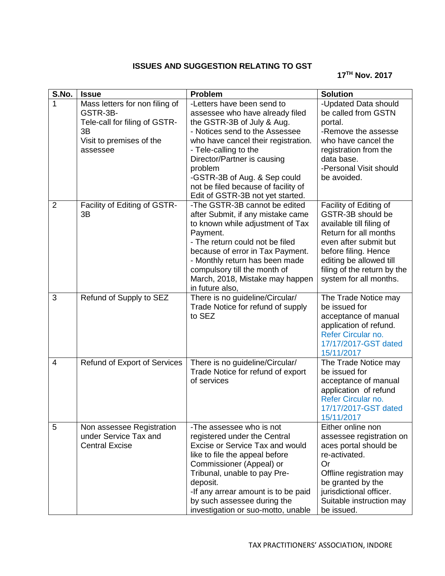## **ISSUES AND SUGGESTION RELATING TO GST**

## **17TH Nov. 2017**

| S.No.          | <b>Issue</b>                                                                                                              | <b>Problem</b>                                                                                                                                                                                                                                                                                                                                     | <b>Solution</b>                                                                                                                                                                                                                       |
|----------------|---------------------------------------------------------------------------------------------------------------------------|----------------------------------------------------------------------------------------------------------------------------------------------------------------------------------------------------------------------------------------------------------------------------------------------------------------------------------------------------|---------------------------------------------------------------------------------------------------------------------------------------------------------------------------------------------------------------------------------------|
| 1              | Mass letters for non filing of<br>GSTR-3B-<br>Tele-call for filing of GSTR-<br>3B<br>Visit to premises of the<br>assessee | -Letters have been send to<br>assessee who have already filed<br>the GSTR-3B of July & Aug.<br>- Notices send to the Assessee<br>who have cancel their registration.<br>- Tele-calling to the<br>Director/Partner is causing<br>problem<br>-GSTR-3B of Aug. & Sep could<br>not be filed because of facility of<br>Edit of GSTR-3B not yet started. | -Updated Data should<br>be called from GSTN<br>portal.<br>-Remove the assesse<br>who have cancel the<br>registration from the<br>data base.<br>-Personal Visit should<br>be avoided.                                                  |
| $\overline{2}$ | Facility of Editing of GSTR-<br>3B                                                                                        | -The GSTR-3B cannot be edited<br>after Submit, if any mistake came<br>to known while adjustment of Tax<br>Payment.<br>- The return could not be filed<br>because of error in Tax Payment.<br>- Monthly return has been made<br>compulsory till the month of<br>March, 2018, Mistake may happen<br>in future also,                                  | Facility of Editing of<br>GSTR-3B should be<br>available till filing of<br>Return for all months<br>even after submit but<br>before filing. Hence<br>editing be allowed till<br>filing of the return by the<br>system for all months. |
| 3              | Refund of Supply to SEZ                                                                                                   | There is no guideline/Circular/<br>Trade Notice for refund of supply<br>to SEZ                                                                                                                                                                                                                                                                     | The Trade Notice may<br>be issued for<br>acceptance of manual<br>application of refund.<br>Refer Circular no.<br>17/17/2017-GST dated<br>15/11/2017                                                                                   |
| $\overline{4}$ | <b>Refund of Export of Services</b>                                                                                       | There is no guideline/Circular/<br>Trade Notice for refund of export<br>of services                                                                                                                                                                                                                                                                | The Trade Notice may<br>be issued for<br>acceptance of manual<br>application of refund<br>Refer Circular no.<br>17/17/2017-GST dated<br>15/11/2017                                                                                    |
| 5              | Non assessee Registration<br>under Service Tax and<br><b>Central Excise</b>                                               | -The assessee who is not<br>registered under the Central<br>Excise or Service Tax and would<br>like to file the appeal before<br>Commissioner (Appeal) or<br>Tribunal, unable to pay Pre-<br>deposit.<br>-If any arrear amount is to be paid<br>by such assessee during the<br>investigation or suo-motto, unable                                  | Either online non<br>assessee registration on<br>aces portal should be<br>re-activated.<br>Or<br>Offline registration may<br>be granted by the<br>jurisdictional officer.<br>Suitable instruction may<br>be issued.                   |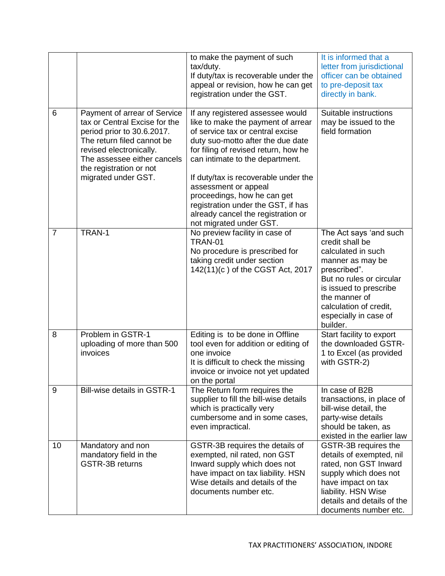|                |                                                                                                                                                                                                                                       | to make the payment of such<br>tax/duty.<br>If duty/tax is recoverable under the<br>appeal or revision, how he can get<br>registration under the GST.                                                                                                                                                                                                                                                                            | It is informed that a<br>letter from jurisdictional<br>officer can be obtained<br>to pre-deposit tax<br>directly in bank.                                                                                                                 |
|----------------|---------------------------------------------------------------------------------------------------------------------------------------------------------------------------------------------------------------------------------------|----------------------------------------------------------------------------------------------------------------------------------------------------------------------------------------------------------------------------------------------------------------------------------------------------------------------------------------------------------------------------------------------------------------------------------|-------------------------------------------------------------------------------------------------------------------------------------------------------------------------------------------------------------------------------------------|
| 6              | Payment of arrear of Service<br>tax or Central Excise for the<br>period prior to 30.6.2017.<br>The return filed cannot be<br>revised electronically.<br>The assessee either cancels<br>the registration or not<br>migrated under GST. | If any registered assessee would<br>like to make the payment of arrear<br>of service tax or central excise<br>duty suo-motto after the due date<br>for filing of revised return, how he<br>can intimate to the department.<br>If duty/tax is recoverable under the<br>assessment or appeal<br>proceedings, how he can get<br>registration under the GST, if has<br>already cancel the registration or<br>not migrated under GST. | Suitable instructions<br>may be issued to the<br>field formation                                                                                                                                                                          |
| $\overline{7}$ | TRAN-1                                                                                                                                                                                                                                | No preview facility in case of<br><b>TRAN-01</b><br>No procedure is prescribed for<br>taking credit under section<br>142(11)(c) of the CGST Act, 2017                                                                                                                                                                                                                                                                            | The Act says 'and such<br>credit shall be<br>calculated in such<br>manner as may be<br>prescribed".<br>But no rules or circular<br>is issued to prescribe<br>the manner of<br>calculation of credit,<br>especially in case of<br>builder. |
| 8              | Problem in GSTR-1<br>uploading of more than 500<br>invoices                                                                                                                                                                           | Editing is to be done in Offline<br>tool even for addition or editing of<br>one invoice<br>It is difficult to check the missing<br>invoice or invoice not yet updated<br>on the portal                                                                                                                                                                                                                                           | Start facility to export<br>the downloaded GSTR-<br>1 to Excel (as provided<br>with GSTR-2)                                                                                                                                               |
| 9              | <b>Bill-wise details in GSTR-1</b>                                                                                                                                                                                                    | The Return form requires the<br>supplier to fill the bill-wise details<br>which is practically very<br>cumbersome and in some cases,<br>even impractical.                                                                                                                                                                                                                                                                        | In case of B2B<br>transactions, in place of<br>bill-wise detail, the<br>party-wise details<br>should be taken, as<br>existed in the earlier law                                                                                           |
| 10             | Mandatory and non<br>mandatory field in the<br><b>GSTR-3B returns</b>                                                                                                                                                                 | GSTR-3B requires the details of<br>exempted, nil rated, non GST<br>Inward supply which does not<br>have impact on tax liability. HSN<br>Wise details and details of the<br>documents number etc.                                                                                                                                                                                                                                 | GSTR-3B requires the<br>details of exempted, nil<br>rated, non GST Inward<br>supply which does not<br>have impact on tax<br>liability. HSN Wise<br>details and details of the<br>documents number etc.                                    |